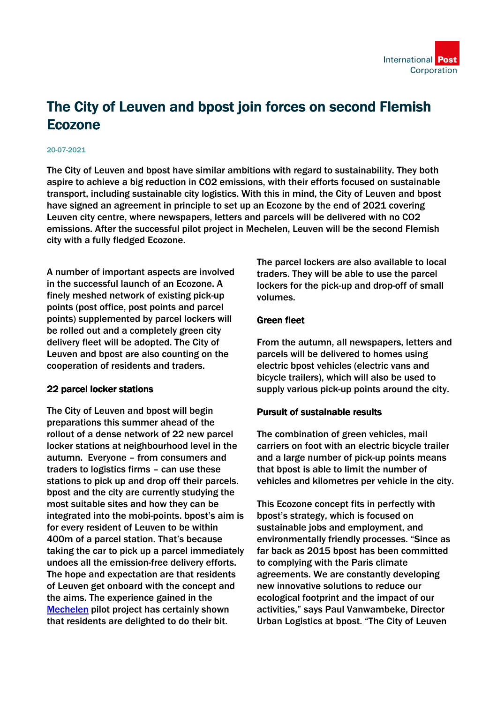# The City of Leuven and bpost join forces on second Flemish Ecozone

#### 20-07-2021

The City of Leuven and bpost have similar ambitions with regard to sustainability. They both aspire to achieve a big reduction in CO2 emissions, with their efforts focused on sustainable transport, including sustainable city logistics. With this in mind, the City of Leuven and bpost have signed an agreement in principle to set up an Ecozone by the end of 2021 covering Leuven city centre, where newspapers, letters and parcels will be delivered with no CO2 emissions. After the successful pilot project in Mechelen, Leuven will be the second Flemish city with a fully fledged Ecozone.

A number of important aspects are involved in the successful launch of an Ecozone. A finely meshed network of existing pick-up points (post office, post points and parcel points) supplemented by parcel lockers will be rolled out and a completely green city delivery fleet will be adopted. The City of Leuven and bpost are also counting on the cooperation of residents and traders.

### 22 parcel locker stations

The City of Leuven and bpost will begin preparations this summer ahead of the rollout of a dense network of 22 new parcel locker stations at neighbourhood level in the autumn. Everyone – from consumers and traders to logistics firms – can use these stations to pick up and drop off their parcels. bpost and the city are currently studying the most suitable sites and how they can be integrated into the mobi-points. bpost's aim is for every resident of Leuven to be within 400m of a parcel station. That's because taking the car to pick up a parcel immediately undoes all the emission-free delivery efforts. The hope and expectation are that residents of Leuven get onboard with the concept and the aims. The experience gained in the [Mechelen](https://press.bpost.be/successful-mechelen-ecozone-pilot-project-bpost-delivers-letters-and-parcels-emission-free) pilot project has certainly shown that residents are delighted to do their bit.

The parcel lockers are also available to local traders. They will be able to use the parcel lockers for the pick-up and drop-off of small volumes.

## Green fleet

From the autumn, all newspapers, letters and parcels will be delivered to homes using electric bpost vehicles (electric vans and bicycle trailers), which will also be used to supply various pick-up points around the city.

# Pursuit of sustainable results

The combination of green vehicles, mail carriers on foot with an electric bicycle trailer and a large number of pick-up points means that bpost is able to limit the number of vehicles and kilometres per vehicle in the city.

This Ecozone concept fits in perfectly with bpost's strategy, which is focused on sustainable jobs and employment, and environmentally friendly processes. "Since as far back as 2015 bpost has been committed to complying with the Paris climate agreements. We are constantly developing new innovative solutions to reduce our ecological footprint and the impact of our activities," says Paul Vanwambeke, Director Urban Logistics at bpost. "The City of Leuven